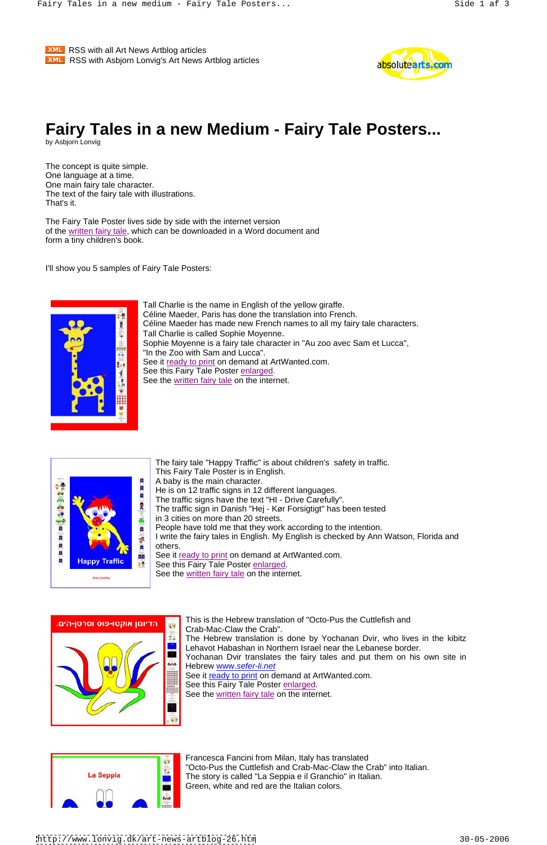**XML** RSS with all Art News Artblog articles **EXML** RSS with Asbjorn Lonvig's Art News Artblog articles **Example 20 and Solute a** 



## **Fairy Tales in a new Medium - Fairy Tale Posters...** by Asbjorn Lonvig

The concept is quite simple. One language at a time. One main fairy tale character. The text of the fairy tale with illustrations. That's it.

> Tall Charlie is the name in English of the yellow giraffe. Céline Maeder, Paris has done the translation into French. Céline Maeder has made new French names to all my fairy tale characters. Tall Charlie is called Sophie Moyenne. Sophie Moyenne is a fairy tale character in "Au zoo avec Sam et Lucca", "In the Zoo with Sam and Lucca". See it ready to print on demand at ArtWanted.com. See this Fairy Tale Poster enlarged. See the written fairy tale on the internet.



The Fairy Tale Poster lives side by side with the internet version of the written fairy tale, which can be downloaded in a Word document and form a tiny children's book.

> The fairy tale "Happy Traffic" is about children's safety in traffic. This Fairy Tale Poster is in English. A baby is the main character. He is on 12 traffic signs in 12 different languages. The traffic signs have the text "HI - Drive Carefully". The traffic sign in Danish "Hej - Kør Forsigtigt" has been tested in 3 cities on more than 20 streets. People have told me that they work according to the intention. I write the fairy tales in English. My English is checked by Ann Watson, Florida and others. See it ready to print on demand at ArtWanted.com. See this Fairy Tale Poster enlarged. See the written fairy tale on the internet.



I'll show you 5 samples of Fairy Tale Posters:



This is the Hebrew translation of "Octo-Pus the Cuttlefish and



Crab-Mac-Claw the Crab".

The Hebrew translation is done by Yochanan Dvir, who lives in the kibitz Lehavot Habashan in Northern Israel near the Lebanese border.

Yochanan Dvir translates the fairy tales and put them on his own site in Hebrew www.sefer-li.net

See it ready to print on demand at ArtWanted.com.

See this Fairy Tale Poster enlarged.

See the written fairy tale on the internet.

| La Seppia |  |
|-----------|--|
|           |  |
|           |  |

Francesca Fancini from Milan, Italy has translated "Octo-Pus the Cuttlefish and Crab-Mac-Claw the Crab" into Italian. The story is called "La Seppia e il Granchio" in Italian. Green, white and red are the Italian colors.

<http://www.lonvig.dk/art-news-artblog-26.htm> 30-05-2006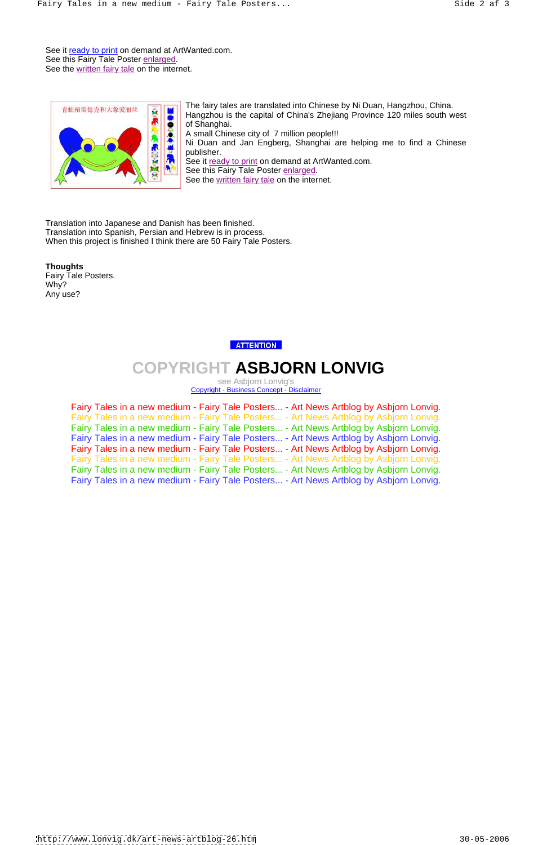See it ready to print on demand at ArtWanted.com. See this Fairy Tale Poster enlarged. See the written fairy tale on the internet.



The fairy tales are translated into Chinese by Ni Duan, Hangzhou, China.

Hangzhou is the capital of China's Zhejiang Province 120 miles south west of Shanghai.

A small Chinese city of 7 million people!!!

Ni Duan and Jan Engberg, Shanghai are helping me to find a Chinese publisher.

See it ready to print on demand at ArtWanted.com.

See this Fairy Tale Poster enlarged.

See the written fairy tale on the internet.

Translation into Japanese and Danish has been finished. Translation into Spanish, Persian and Hebrew is in process. When this project is finished I think there are 50 Fairy Tale Posters.

## **Thoughts**

Fairy Tale Posters. Why? Any use?

## **ATTENTION**

## **COPYRIGHT ASBJORN LONVIG**

see Asbjorn Lonvig's Copyright - Business Concept - Disclaimer

Fairy Tales in a new medium - Fairy Tale Posters... - Art News Artblog by Asbjorn Lonvig. Fairy Tales in a new medium - Fairy Tale Posters... - Art News Artblog by Asbjorn Lonvig. Fairy Tales in a new medium - Fairy Tale Posters... - Art News Artblog by Asbjorn Lonvig. Fairy Tales in a new medium - Fairy Tale Posters... - Art News Artblog by Asbjorn Lonvig. Fairy Tales in a new medium - Fairy Tale Posters... - Art News Artblog by Asbjorn Lonvig. Fairy Tales in a new medium - Fairy Tale Posters... - Art News Artblog by Asbjorn Lonvig. Fairy Tales in a new medium - Fairy Tale Posters... - Art News Artblog by Asbjorn Lonvig. Fairy Tales in a new medium - Fairy Tale Posters... - Art News Artblog by Asbjorn Lonvig.

<http://www.lonvig.dk/art-news-artblog-26.htm> 30-05-2006